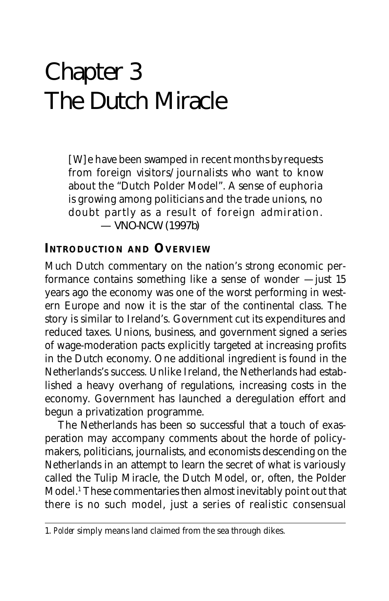# Chapter 3 The Dutch Miracle

[W]e have been swamped in recent months by requests from foreign visitors/journalists who want to know about the "Dutch Polder Model". A sense of euphoria is growing among politicians and the trade unions, no doubt partly as a result of foreign admiration. — VNO-NCW (1997b)

# **INTRODUCTION AND OVERVIEW**

Much Dutch commentary on the nation's strong economic performance contains something like a sense of wonder — just 15 years ago the economy was one of the worst performing in western Europe and now it is the star of the continental class. The story is similar to Ireland's. Government cut its expenditures and reduced taxes. Unions, business, and government signed a series of wage-moderation pacts explicitly targeted at increasing profits in the Dutch economy. One additional ingredient is found in the Netherlands's success. Unlike Ireland, the Netherlands had established a heavy overhang of regulations, increasing costs in the economy. Government has launched a deregulation effort and begun a privatization programme.

The Netherlands has been so successful that a touch of exasperation may accompany comments about the horde of policymakers, politicians, journalists, and economists descending on the Netherlands in an attempt to learn the secret of what is variously called the Tulip Miracle, the Dutch Model, or, often, the Polder Model.1 These commentaries then almost inevitably point out that there is no such model, just a series of realistic consensual

<sup>1.</sup> *Polder* simply means land claimed from the sea through dikes.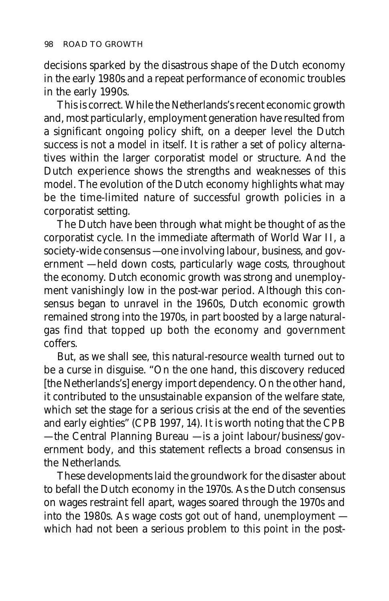decisions sparked by the disastrous shape of the Dutch economy in the early 1980s and a repeat performance of economic troubles in the early 1990s.

This is correct. While the Netherlands's recent economic growth and, most particularly, employment generation have resulted from a significant ongoing policy shift, on a deeper level the Dutch success is not a model in itself. It is rather a set of policy alternatives within the larger corporatist model or structure. And the Dutch experience shows the strengths and weaknesses of this model. The evolution of the Dutch economy highlights what may be the time-limited nature of successful growth policies in a corporatist setting.

The Dutch have been through what might be thought of as the corporatist cycle. In the immediate aftermath of World War II, a society-wide consensus — one involving labour, business, and government — held down costs, particularly wage costs, throughout the economy. Dutch economic growth was strong and unemployment vanishingly low in the post-war period. Although this consensus began to unravel in the 1960s, Dutch economic growth remained strong into the 1970s, in part boosted by a large naturalgas find that topped up both the economy and government coffers.

But, as we shall see, this natural-resource wealth turned out to be a curse in disguise. "On the one hand, this discovery reduced [the Netherlands's] energy import dependency. On the other hand, it contributed to the unsustainable expansion of the welfare state, which set the stage for a serious crisis at the end of the seventies and early eighties" (CPB 1997, 14). It is worth noting that the CPB — the Central Planning Bureau — is a joint labour/business/government body, and this statement reflects a broad consensus in the Netherlands.

These developments laid the groundwork for the disaster about to befall the Dutch economy in the 1970s. As the Dutch consensus on wages restraint fell apart, wages soared through the 1970s and into the 1980s. As wage costs got out of hand, unemployment which had not been a serious problem to this point in the post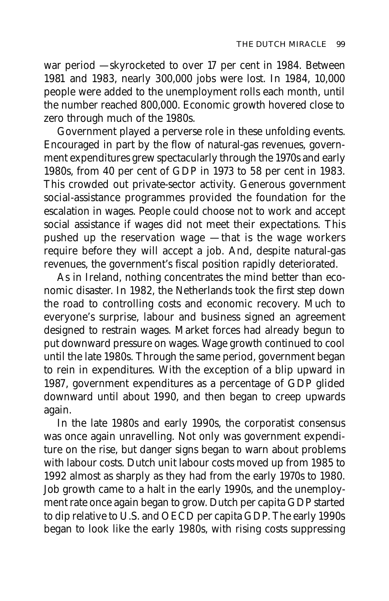war period — skyrocketed to over 17 per cent in 1984. Between 1981 and 1983, nearly 300,000 jobs were lost. In 1984, 10,000 people were added to the unemployment rolls each month, until the number reached 800,000. Economic growth hovered close to zero through much of the 1980s.

Government played a perverse role in these unfolding events. Encouraged in part by the flow of natural-gas revenues, government expenditures grew spectacularly through the 1970s and early 1980s, from 40 per cent of GDP in 1973 to 58 per cent in 1983. This crowded out private-sector activity. Generous government social-assistance programmes provided the foundation for the escalation in wages. People could choose not to work and accept social assistance if wages did not meet their expectations. This pushed up the reservation wage — that is the wage workers require before they will accept a job. And, despite natural-gas revenues, the government's fiscal position rapidly deteriorated.

As in Ireland, nothing concentrates the mind better than economic disaster. In 1982, the Netherlands took the first step down the road to controlling costs and economic recovery. Much to everyone's surprise, labour and business signed an agreement designed to restrain wages. Market forces had already begun to put downward pressure on wages. Wage growth continued to cool until the late 1980s. Through the same period, government began to rein in expenditures. With the exception of a blip upward in 1987, government expenditures as a percentage of GDP glided downward until about 1990, and then began to creep upwards again.

In the late 1980s and early 1990s, the corporatist consensus was once again unravelling. Not only was government expenditure on the rise, but danger signs began to warn about problems with labour costs. Dutch unit labour costs moved up from 1985 to 1992 almost as sharply as they had from the early 1970s to 1980. Job growth came to a halt in the early 1990s, and the unemployment rate once again began to grow. Dutch per capita GDP started to dip relative to U.S. and OECD per capita GDP. The early 1990s began to look like the early 1980s, with rising costs suppressing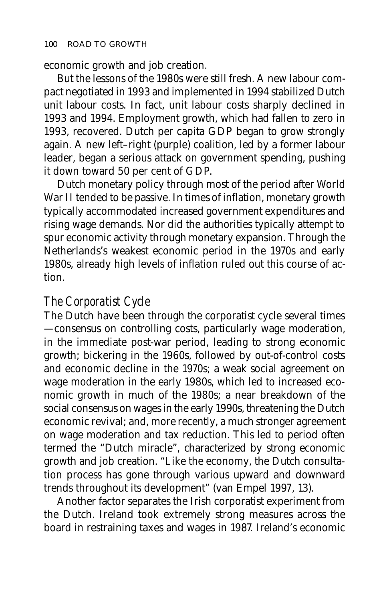economic growth and job creation.

But the lessons of the 1980s were still fresh. A new labour compact negotiated in 1993 and implemented in 1994 stabilized Dutch unit labour costs. In fact, unit labour costs sharply declined in 1993 and 1994. Employment growth, which had fallen to zero in 1993, recovered. Dutch per capita GDP began to grow strongly again. A new left–right (purple) coalition, led by a former labour leader, began a serious attack on government spending, pushing it down toward 50 per cent of GDP.

Dutch monetary policy through most of the period after World War II tended to be passive. In times of inflation, monetary growth typically accommodated increased government expenditures and rising wage demands. Nor did the authorities typically attempt to spur economic activity through monetary expansion. Through the Netherlands's weakest economic period in the 1970s and early 1980s, already high levels of inflation ruled out this course of action.

#### *The Corporatist Cycle*

The Dutch have been through the corporatist cycle several times — consensus on controlling costs, particularly wage moderation, in the immediate post-war period, leading to strong economic growth; bickering in the 1960s, followed by out-of-control costs and economic decline in the 1970s; a weak social agreement on wage moderation in the early 1980s, which led to increased economic growth in much of the 1980s; a near breakdown of the social consensus on wages in the early 1990s, threatening the Dutch economic revival; and, more recently, a much stronger agreement on wage moderation and tax reduction. This led to period often termed the "Dutch miracle", characterized by strong economic growth and job creation. "Like the economy, the Dutch consultation process has gone through various upward and downward trends throughout its development" (van Empel 1997, 13).

Another factor separates the Irish corporatist experiment from the Dutch. Ireland took extremely strong measures across the board in restraining taxes and wages in 1987. Ireland's economic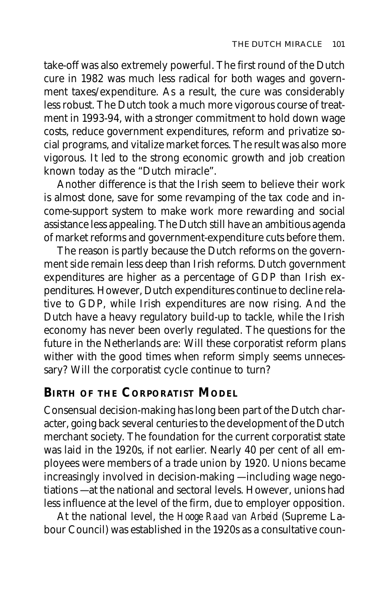take-off was also extremely powerful. The first round of the Dutch cure in 1982 was much less radical for both wages and government taxes/expenditure. As a result, the cure was considerably less robust. The Dutch took a much more vigorous course of treatment in 1993-94, with a stronger commitment to hold down wage costs, reduce government expenditures, reform and privatize social programs, and vitalize market forces. The result was also more vigorous. It led to the strong economic growth and job creation known today as the "Dutch miracle".

Another difference is that the Irish seem to believe their work is almost done, save for some revamping of the tax code and income-support system to make work more rewarding and social assistance less appealing. The Dutch still have an ambitious agenda of market reforms and government-expenditure cuts before them.

The reason is partly because the Dutch reforms on the government side remain less deep than Irish reforms. Dutch government expenditures are higher as a percentage of GDP than Irish expenditures. However, Dutch expenditures continue to decline relative to GDP, while Irish expenditures are now rising. And the Dutch have a heavy regulatory build-up to tackle, while the Irish economy has never been overly regulated. The questions for the future in the Netherlands are: Will these corporatist reform plans wither with the good times when reform simply seems unnecessary? Will the corporatist cycle continue to turn?

# **BIRTH OF THE CORPORATIST MODEL**

Consensual decision-making has long been part of the Dutch character, going back several centuries to the development of the Dutch merchant society. The foundation for the current corporatist state was laid in the 1920s, if not earlier. Nearly 40 per cent of all employees were members of a trade union by 1920. Unions became increasingly involved in decision-making — including wage negotiations — at the national and sectoral levels. However, unions had less influence at the level of the firm, due to employer opposition.

At the national level, the *Hooge Raad van Arbeid* (Supreme Labour Council) was established in the 1920s as a consultative coun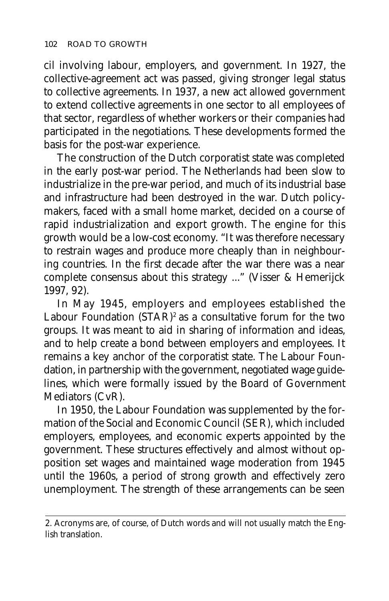cil involving labour, employers, and government. In 1927, the collective-agreement act was passed, giving stronger legal status to collective agreements. In 1937, a new act allowed government to extend collective agreements in one sector to all employees of that sector, regardless of whether workers or their companies had participated in the negotiations. These developments formed the basis for the post-war experience.

The construction of the Dutch corporatist state was completed in the early post-war period. The Netherlands had been slow to industrialize in the pre-war period, and much of its industrial base and infrastructure had been destroyed in the war. Dutch policymakers, faced with a small home market, decided on a course of rapid industrialization and export growth. The engine for this growth would be a low-cost economy. "It was therefore necessary to restrain wages and produce more cheaply than in neighbouring countries. In the first decade after the war there was a near complete consensus about this strategy ..." (Visser & Hemerijck 1997, 92).

In May 1945, employers and employees established the Labour Foundation  $(STAR)^2$  as a consultative forum for the two groups. It was meant to aid in sharing of information and ideas, and to help create a bond between employers and employees. It remains a key anchor of the corporatist state. The Labour Foundation, in partnership with the government, negotiated wage guidelines, which were formally issued by the Board of Government Mediators (CvR).

In 1950, the Labour Foundation was supplemented by the formation of the Social and Economic Council (SER), which included employers, employees, and economic experts appointed by the government. These structures effectively and almost without opposition set wages and maintained wage moderation from 1945 until the 1960s, a period of strong growth and effectively zero unemployment. The strength of these arrangements can be seen

<sup>2.</sup> Acronyms are, of course, of Dutch words and will not usually match the English translation.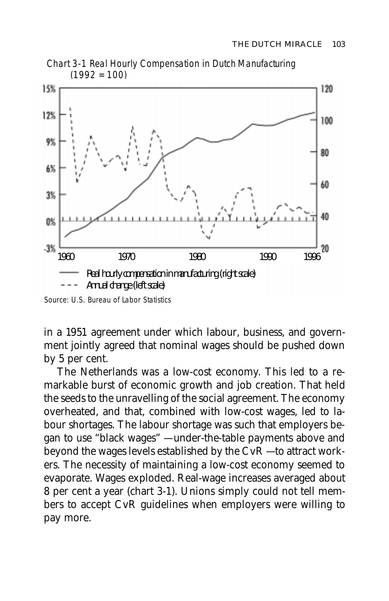

Chart 3-1 Real Hourly Compensation in Dutch Manufacturing  $(1992 = 100)$ 

in a 1951 agreement under which labour, business, and government jointly agreed that nominal wages should be pushed down by 5 per cent.

The Netherlands was a low-cost economy. This led to a remarkable burst of economic growth and job creation. That held the seeds to the unravelling of the social agreement. The economy overheated, and that, combined with low-cost wages, led to labour shortages. The labour shortage was such that employers began to use "black wages" — under-the-table payments above and beyond the wages levels established by the CvR — to attract workers. The necessity of maintaining a low-cost economy seemed to evaporate. Wages exploded. Real-wage increases averaged about 8 per cent a year (chart 3-1). Unions simply could not tell members to accept CvR guidelines when employers were willing to pay more.

Source: U.S. Bureau of Labor Statistics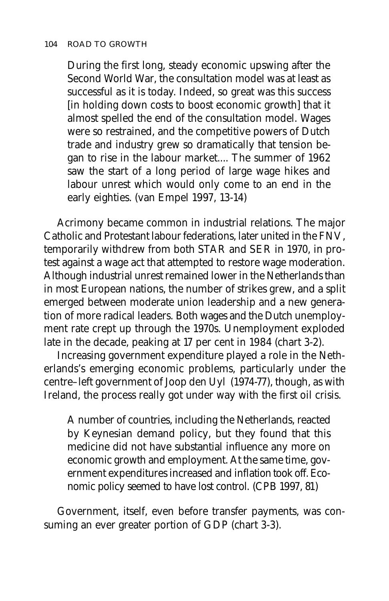#### 104 ROAD TO GROWTH

During the first long, steady economic upswing after the Second World War, the consultation model was at least as successful as it is today. Indeed, so great was this success [in holding down costs to boost economic growth] that it almost spelled the end of the consultation model. Wages were so restrained, and the competitive powers of Dutch trade and industry grew so dramatically that tension began to rise in the labour market.... The summer of 1962 saw the start of a long period of large wage hikes and labour unrest which would only come to an end in the early eighties. (van Empel 1997, 13-14)

Acrimony became common in industrial relations. The major Catholic and Protestant labour federations, later united in the FNV, temporarily withdrew from both STAR and SER in 1970, in protest against a wage act that attempted to restore wage moderation. Although industrial unrest remained lower in the Netherlands than in most European nations, the number of strikes grew, and a split emerged between moderate union leadership and a new generation of more radical leaders. Both wages and the Dutch unemployment rate crept up through the 1970s. Unemployment exploded late in the decade, peaking at 17 per cent in 1984 (chart 3-2).

Increasing government expenditure played a role in the Netherlands's emerging economic problems, particularly under the centre–left government of Joop den Uyl (1974-77), though, as with Ireland, the process really got under way with the first oil crisis.

A number of countries, including the Netherlands, reacted by Keynesian demand policy, but they found that this medicine did not have substantial influence any more on economic growth and employment. At the same time, government expenditures increased and inflation took off. Economic policy seemed to have lost control. (CPB 1997, 81)

Government, itself, even before transfer payments, was consuming an ever greater portion of GDP (chart 3-3).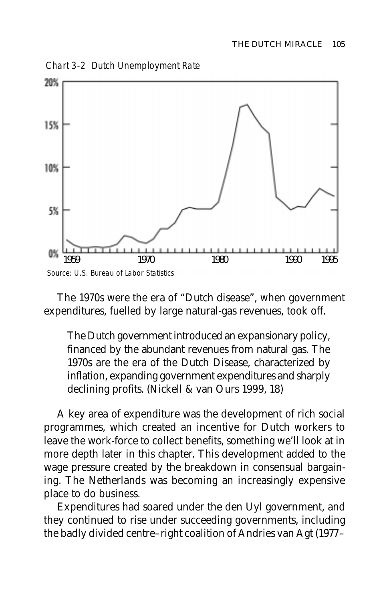Chart 3-2 Dutch Unemployment Rate



The 1970s were the era of "Dutch disease", when government expenditures, fuelled by large natural-gas revenues, took off.

The Dutch government introduced an expansionary policy, financed by the abundant revenues from natural gas. The 1970s are the era of the Dutch Disease, characterized by inflation, expanding government expenditures and sharply declining profits. (Nickell & van Ours 1999, 18)

A key area of expenditure was the development of rich social programmes, which created an incentive for Dutch workers to leave the work-force to collect benefits, something we'll look at in more depth later in this chapter. This development added to the wage pressure created by the breakdown in consensual bargaining. The Netherlands was becoming an increasingly expensive place to do business.

Expenditures had soared under the den Uyl government, and they continued to rise under succeeding governments, including the badly divided centre–right coalition of Andries van Agt (1977–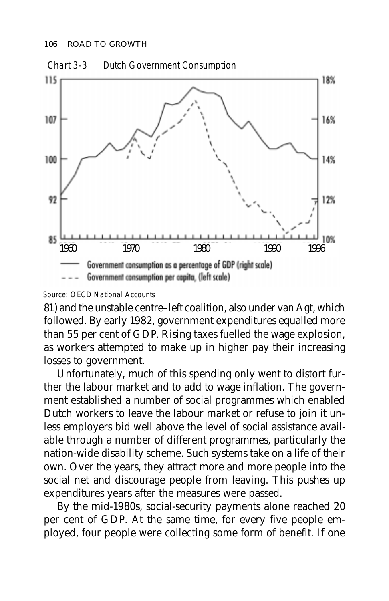

#### Source: OECD National Accounts

81) and the unstable centre–left coalition, also under van Agt, which followed. By early 1982, government expenditures equalled more than 55 per cent of GDP. Rising taxes fuelled the wage explosion, as workers attempted to make up in higher pay their increasing losses to government.

Unfortunately, much of this spending only went to distort further the labour market and to add to wage inflation. The government established a number of social programmes which enabled Dutch workers to leave the labour market or refuse to join it unless employers bid well above the level of social assistance available through a number of different programmes, particularly the nation-wide disability scheme. Such systems take on a life of their own. Over the years, they attract more and more people into the social net and discourage people from leaving. This pushes up expenditures years after the measures were passed.

By the mid-1980s, social-security payments alone reached 20 per cent of GDP. At the same time, for every five people employed, four people were collecting some form of benefit. If one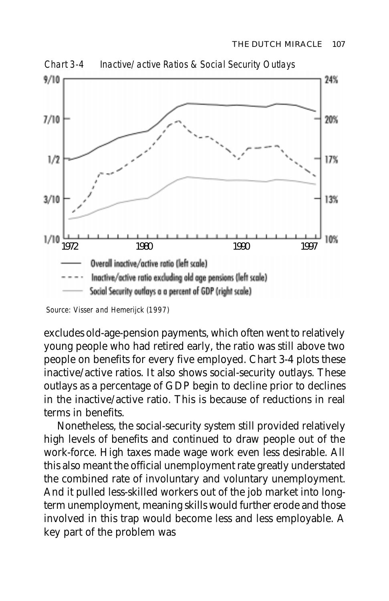

Chart 3-4 Inactive/active Ratios & Social Security Outlays

excludes old-age-pension payments, which often went to relatively young people who had retired early, the ratio was still above two people on benefits for every five employed. Chart 3-4 plots these inactive/active ratios. It also shows social-security outlays. These outlays as a percentage of GDP begin to decline prior to declines in the inactive/active ratio. This is because of reductions in real terms in benefits.

Nonetheless, the social-security system still provided relatively high levels of benefits and continued to draw people out of the work-force. High taxes made wage work even less desirable. All this also meant the official unemployment rate greatly understated the combined rate of involuntary and voluntary unemployment. And it pulled less-skilled workers out of the job market into longterm unemployment, meaning skills would further erode and those involved in this trap would become less and less employable. A key part of the problem was

Source: Visser and Hemerijck (1997)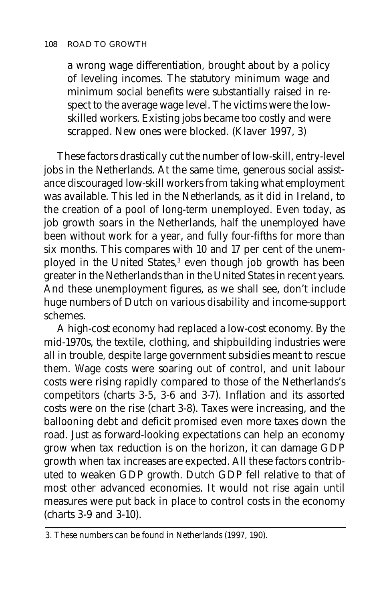a wrong wage differentiation, brought about by a policy of leveling incomes. The statutory minimum wage and minimum social benefits were substantially raised in respect to the average wage level. The victims were the lowskilled workers. Existing jobs became too costly and were scrapped. New ones were blocked. (Klaver 1997, 3)

These factors drastically cut the number of low-skill, entry-level jobs in the Netherlands. At the same time, generous social assistance discouraged low-skill workers from taking what employment was available. This led in the Netherlands, as it did in Ireland, to the creation of a pool of long-term unemployed. Even today, as job growth soars in the Netherlands, half the unemployed have been without work for a year, and fully four-fifths for more than six months. This compares with 10 and 17 per cent of the unemployed in the United States,<sup>3</sup> even though job growth has been greater in the Netherlands than in the United States in recent years. And these unemployment figures, as we shall see, don't include huge numbers of Dutch on various disability and income-support schemes.

A high-cost economy had replaced a low-cost economy. By the mid-1970s, the textile, clothing, and shipbuilding industries were all in trouble, despite large government subsidies meant to rescue them. Wage costs were soaring out of control, and unit labour costs were rising rapidly compared to those of the Netherlands's competitors (charts 3-5, 3-6 and 3-7). Inflation and its assorted costs were on the rise (chart 3-8). Taxes were increasing, and the ballooning debt and deficit promised even more taxes down the road. Just as forward-looking expectations can help an economy grow when tax reduction is on the horizon, it can damage GDP growth when tax increases are expected. All these factors contributed to weaken GDP growth. Dutch GDP fell relative to that of most other advanced economies. It would not rise again until measures were put back in place to control costs in the economy (charts 3-9 and 3-10).

<sup>3.</sup> These numbers can be found in Netherlands (1997, 190).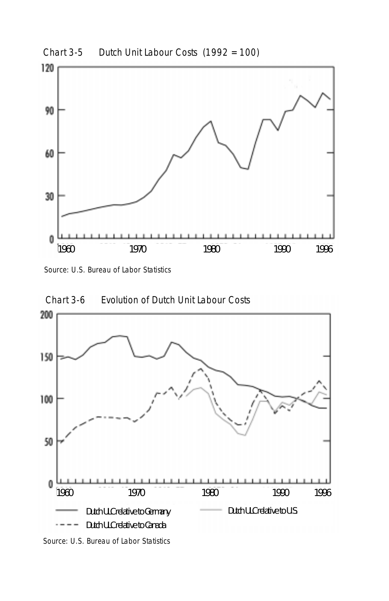

Source: U.S. Bureau of Labor Statistics



Source: U.S. Bureau of Labor Statistics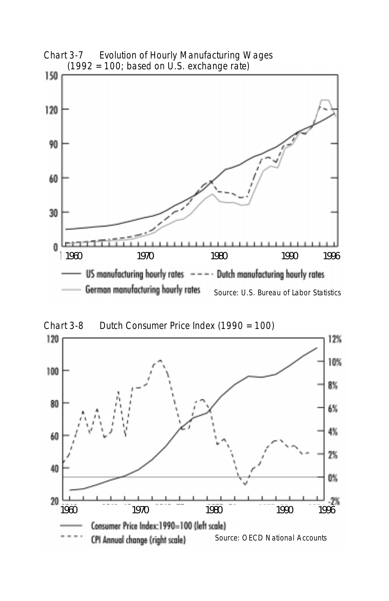

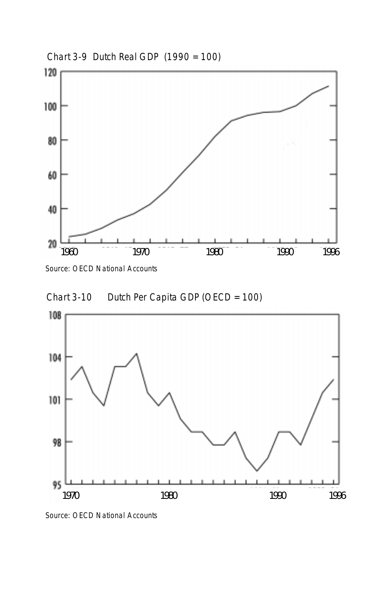

Chart 3-9 Dutch Real GDP (1990 = 100)

Source: OECD National Accounts





Source: OECD National Accounts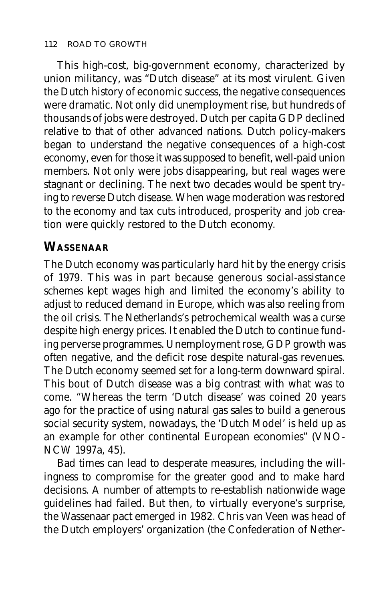This high-cost, big-government economy, characterized by union militancy, was "Dutch disease" at its most virulent. Given the Dutch history of economic success, the negative consequences were dramatic. Not only did unemployment rise, but hundreds of thousands of jobs were destroyed. Dutch per capita GDP declined relative to that of other advanced nations. Dutch policy-makers began to understand the negative consequences of a high-cost economy, even for those it was supposed to benefit, well-paid union members. Not only were jobs disappearing, but real wages were stagnant or declining. The next two decades would be spent trying to reverse Dutch disease. When wage moderation was restored to the economy and tax cuts introduced, prosperity and job creation were quickly restored to the Dutch economy.

# **WASSENAAR**

The Dutch economy was particularly hard hit by the energy crisis of 1979. This was in part because generous social-assistance schemes kept wages high and limited the economy's ability to adjust to reduced demand in Europe, which was also reeling from the oil crisis. The Netherlands's petrochemical wealth was a curse despite high energy prices. It enabled the Dutch to continue funding perverse programmes. Unemployment rose, GDP growth was often negative, and the deficit rose despite natural-gas revenues. The Dutch economy seemed set for a long-term downward spiral. This bout of Dutch disease was a big contrast with what was to come. "Whereas the term 'Dutch disease' was coined 20 years ago for the practice of using natural gas sales to build a generous social security system, nowadays, the 'Dutch Model' is held up as an example for other continental European economies" (VNO-NCW 1997a, 45).

Bad times can lead to desperate measures, including the willingness to compromise for the greater good and to make hard decisions. A number of attempts to re-establish nationwide wage guidelines had failed. But then, to virtually everyone's surprise, the Wassenaar pact emerged in 1982. Chris van Veen was head of the Dutch employers' organization (the Confederation of Nether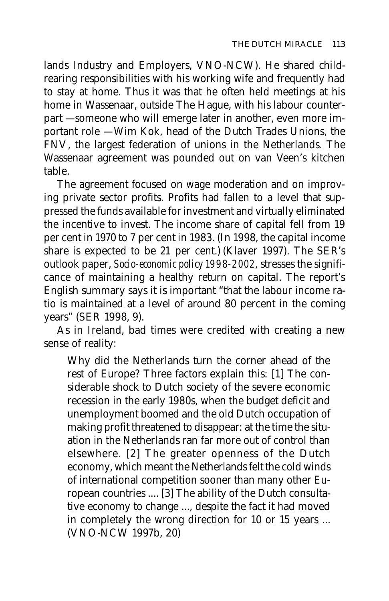lands Industry and Employers, VNO-NCW). He shared childrearing responsibilities with his working wife and frequently had to stay at home. Thus it was that he often held meetings at his home in Wassenaar, outside The Hague, with his labour counterpart — someone who will emerge later in another, even more important role — Wim Kok, head of the Dutch Trades Unions, the FNV, the largest federation of unions in the Netherlands. The Wassenaar agreement was pounded out on van Veen's kitchen table.

The agreement focused on wage moderation and on improving private sector profits. Profits had fallen to a level that suppressed the funds available for investment and virtually eliminated the incentive to invest. The income share of capital fell from 19 per cent in 1970 to 7 per cent in 1983. (In 1998, the capital income share is expected to be 21 per cent.) (Klaver 1997). The SER's outlook paper, *Socio-economic policy 1998-2002,* stresses the significance of maintaining a healthy return on capital. The report's English summary says it is important "that the labour income ratio is maintained at a level of around 80 percent in the coming years" (SER 1998, 9).

As in Ireland, bad times were credited with creating a new sense of reality:

Why did the Netherlands turn the corner ahead of the rest of Europe? Three factors explain this: [1] The considerable shock to Dutch society of the severe economic recession in the early 1980s, when the budget deficit and unemployment boomed and the old Dutch occupation of making profit threatened to disappear: at the time the situation in the Netherlands ran far more out of control than elsewhere. [2] The greater openness of the Dutch economy, which meant the Netherlands felt the cold winds of international competition sooner than many other European countries .... [3] The ability of the Dutch consultative economy to change ..., despite the fact it had moved in completely the wrong direction for 10 or 15 years ... (VNO-NCW 1997b, 20)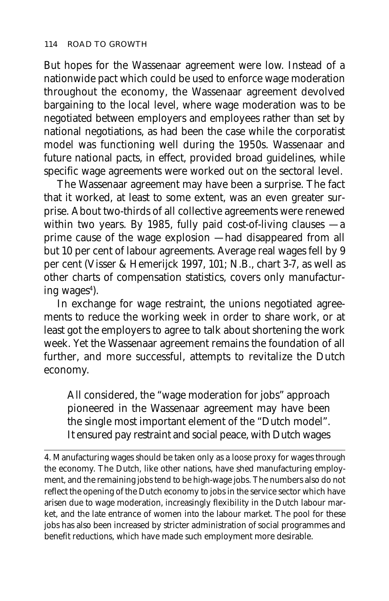But hopes for the Wassenaar agreement were low. Instead of a nationwide pact which could be used to enforce wage moderation throughout the economy, the Wassenaar agreement devolved bargaining to the local level, where wage moderation was to be negotiated between employers and employees rather than set by national negotiations, as had been the case while the corporatist model was functioning well during the 1950s. Wassenaar and future national pacts, in effect, provided broad guidelines, while specific wage agreements were worked out on the sectoral level.

The Wassenaar agreement may have been a surprise. The fact that it worked, at least to some extent, was an even greater surprise. About two-thirds of all collective agreements were renewed within two years. By 1985, fully paid cost-of-living clauses — a prime cause of the wage explosion — had disappeared from all but 10 per cent of labour agreements. Average real wages fell by 9 per cent (Visser & Hemerijck 1997, 101; N.B., chart 3-7, as well as other charts of compensation statistics, covers only manufacturing wages<sup>4</sup>).

In exchange for wage restraint, the unions negotiated agreements to reduce the working week in order to share work, or at least got the employers to agree to talk about shortening the work week. Yet the Wassenaar agreement remains the foundation of all further, and more successful, attempts to revitalize the Dutch economy.

All considered, the "wage moderation for jobs" approach pioneered in the Wassenaar agreement may have been the single most important element of the "Dutch model". It ensured pay restraint and social peace, with Dutch wages

4. Manufacturing wages should be taken only as a loose proxy for wages through the economy. The Dutch, like other nations, have shed manufacturing employment, and the remaining jobs tend to be high-wage jobs. The numbers also do not reflect the opening of the Dutch economy to jobs in the service sector which have arisen due to wage moderation, increasingly flexibility in the Dutch labour market, and the late entrance of women into the labour market. The pool for these jobs has also been increased by stricter administration of social programmes and benefit reductions, which have made such employment more desirable.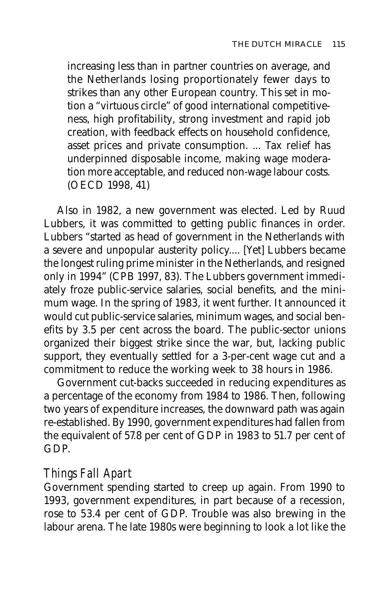increasing less than in partner countries on average, and the Netherlands losing proportionately fewer days to strikes than any other European country. This set in motion a "virtuous circle" of good international competitiveness, high profitability, strong investment and rapid job creation, with feedback effects on household confidence, asset prices and private consumption. ... Tax relief has underpinned disposable income, making wage moderation more acceptable, and reduced non-wage labour costs. (OECD 1998, 41)

Also in 1982, a new government was elected. Led by Ruud Lubbers, it was committed to getting public finances in order. Lubbers "started as head of government in the Netherlands with a severe and unpopular austerity policy.... [Yet] Lubbers became the longest ruling prime minister in the Netherlands, and resigned only in 1994" (CPB 1997, 83). The Lubbers government immediately froze public-service salaries, social benefits, and the minimum wage. In the spring of 1983, it went further. It announced it would cut public-service salaries, minimum wages, and social benefits by 3.5 per cent across the board. The public-sector unions organized their biggest strike since the war, but, lacking public support, they eventually settled for a 3-per-cent wage cut and a commitment to reduce the working week to 38 hours in 1986.

Government cut-backs succeeded in reducing expenditures as a percentage of the economy from 1984 to 1986. Then, following two years of expenditure increases, the downward path was again re-established. By 1990, government expenditures had fallen from the equivalent of 57.8 per cent of GDP in 1983 to 51.7 per cent of GDP.

#### *Things Fall Apart*

Government spending started to creep up again. From 1990 to 1993, government expenditures, in part because of a recession, rose to 53.4 per cent of GDP. Trouble was also brewing in the labour arena. The late 1980s were beginning to look a lot like the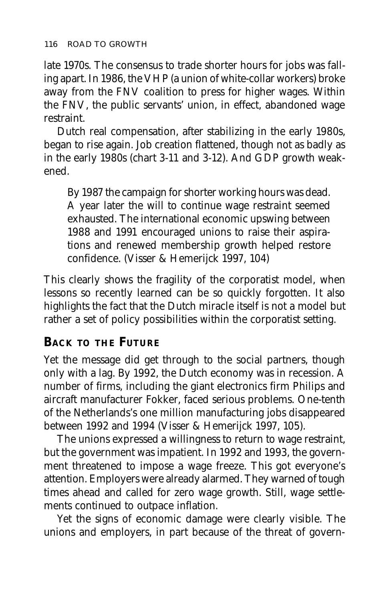late 1970s. The consensus to trade shorter hours for jobs was falling apart. In 1986, the VHP (a union of white-collar workers) broke away from the FNV coalition to press for higher wages. Within the FNV, the public servants' union, in effect, abandoned wage restraint.

Dutch real compensation, after stabilizing in the early 1980s, began to rise again. Job creation flattened, though not as badly as in the early 1980s (chart 3-11 and 3-12). And GDP growth weakened.

By 1987 the campaign for shorter working hours was dead. A year later the will to continue wage restraint seemed exhausted. The international economic upswing between 1988 and 1991 encouraged unions to raise their aspirations and renewed membership growth helped restore confidence. (Visser & Hemerijck 1997, 104)

This clearly shows the fragility of the corporatist model, when lessons so recently learned can be so quickly forgotten. It also highlights the fact that the Dutch miracle itself is not a model but rather a set of policy possibilities within the corporatist setting.

#### **BACK TO THE FUTURE**

Yet the message did get through to the social partners, though only with a lag. By 1992, the Dutch economy was in recession. A number of firms, including the giant electronics firm Philips and aircraft manufacturer Fokker, faced serious problems. One-tenth of the Netherlands's one million manufacturing jobs disappeared between 1992 and 1994 (Visser & Hemerijck 1997, 105).

The unions expressed a willingness to return to wage restraint, but the government was impatient. In 1992 and 1993, the government threatened to impose a wage freeze. This got everyone's attention. Employers were already alarmed. They warned of tough times ahead and called for zero wage growth. Still, wage settlements continued to outpace inflation.

Yet the signs of economic damage were clearly visible. The unions and employers, in part because of the threat of govern-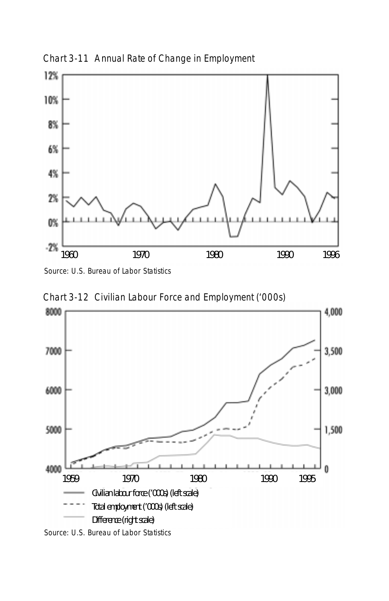

Chart 3-11 Annual Rate of Change in Employment

Source: U.S. Bureau of Labor Statistics



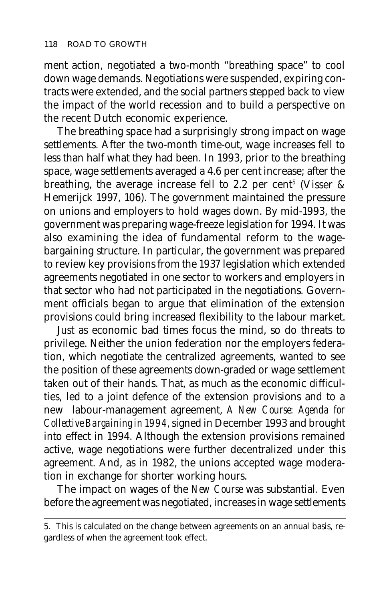ment action, negotiated a two-month "breathing space" to cool down wage demands. Negotiations were suspended, expiring contracts were extended, and the social partners stepped back to view the impact of the world recession and to build a perspective on the recent Dutch economic experience.

The breathing space had a surprisingly strong impact on wage settlements. After the two-month time-out, wage increases fell to less than half what they had been. In 1993, prior to the breathing space, wage settlements averaged a 4.6 per cent increase; after the breathing, the average increase fell to 2.2 per cent $^{\rm 5}$  (Visser & Hemerijck 1997, 106). The government maintained the pressure on unions and employers to hold wages down. By mid-1993, the government was preparing wage-freeze legislation for 1994. It was also examining the idea of fundamental reform to the wagebargaining structure. In particular, the government was prepared to review key provisions from the 1937 legislation which extended agreements negotiated in one sector to workers and employers in that sector who had not participated in the negotiations. Government officials began to argue that elimination of the extension provisions could bring increased flexibility to the labour market.

Just as economic bad times focus the mind, so do threats to privilege. Neither the union federation nor the employers federation, which negotiate the centralized agreements, wanted to see the position of these agreements down-graded or wage settlement taken out of their hands. That, as much as the economic difficulties, led to a joint defence of the extension provisions and to a new labour-management agreement, *A New Course: Agenda for Collective Bargaining in 1994,* signed in December 1993 and brought into effect in 1994. Although the extension provisions remained active, wage negotiations were further decentralized under this agreement. And, as in 1982, the unions accepted wage moderation in exchange for shorter working hours.

The impact on wages of the *New Course* was substantial. Even before the agreement was negotiated, increases in wage settlements

<sup>5.</sup> This is calculated on the change between agreements on an annual basis, regardless of when the agreement took effect.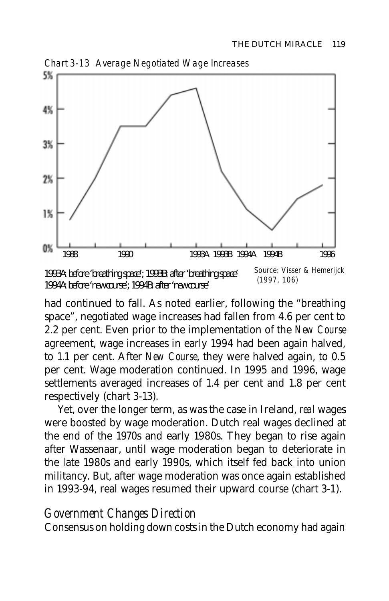

Chart 3-13 Average Negotiated Wage Increases

had continued to fall. As noted earlier, following the "breathing space", negotiated wage increases had fallen from 4.6 per cent to 2.2 per cent. Even prior to the implementation of the *New Course* agreement, wage increases in early 1994 had been again halved, to 1.1 per cent. After *New Course*, they were halved again, to 0.5 per cent. Wage moderation continued. In 1995 and 1996, wage settlements averaged increases of 1.4 per cent and 1.8 per cent respectively (chart 3-13).

Yet, over the longer term, as was the case in Ireland, *real* wages were boosted by wage moderation. Dutch real wages declined at the end of the 1970s and early 1980s. They began to rise again after Wassenaar, until wage moderation began to deteriorate in the late 1980s and early 1990s, which itself fed back into union militancy. But, after wage moderation was once again established in 1993-94, real wages resumed their upward course (chart 3-1).

# *Government Changes Direction*

Consensus on holding down costs in the Dutch economy had again

 <sup>(1997, 106)</sup> 1993A: before 'breathing space'; 1993B: after 'breathing space' 1994A: before 'new course'; 1994B: after 'new course'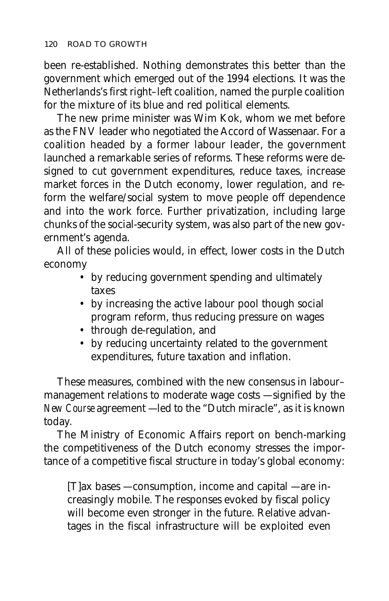been re-established. Nothing demonstrates this better than the government which emerged out of the 1994 elections. It was the Netherlands's first right–left coalition, named the purple coalition for the mixture of its blue and red political elements.

The new prime minister was Wim Kok, whom we met before as the FNV leader who negotiated the Accord of Wassenaar. For a coalition headed by a former labour leader, the government launched a remarkable series of reforms. These reforms were designed to cut government expenditures, reduce taxes, increase market forces in the Dutch economy, lower regulation, and reform the welfare/social system to move people off dependence and into the work force. Further privatization, including large chunks of the social-security system, was also part of the new government's agenda.

All of these policies would, in effect, lower costs in the Dutch economy

- by reducing government spending and ultimately taxes
- by increasing the active labour pool though social program reform, thus reducing pressure on wages
- through de-regulation, and
- by reducing uncertainty related to the government expenditures, future taxation and inflation.

These measures, combined with the new consensus in labour– management relations to moderate wage costs — signified by the *New Course* agreement — led to the "Dutch miracle", as it is known today.

The Ministry of Economic Affairs report on bench-marking the competitiveness of the Dutch economy stresses the importance of a competitive fiscal structure in today's global economy:

[T]ax bases — consumption, income and capital — are increasingly mobile. The responses evoked by fiscal policy will become even stronger in the future. Relative advantages in the fiscal infrastructure will be exploited even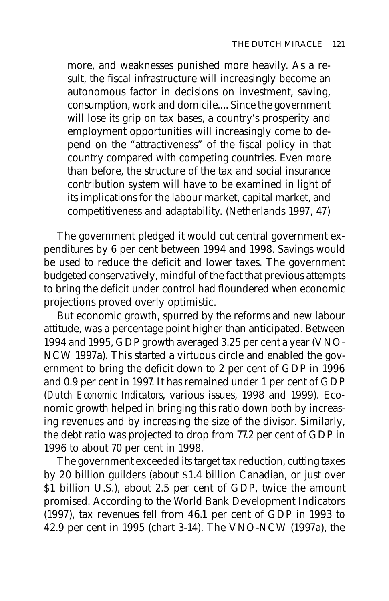more, and weaknesses punished more heavily. As a result, the fiscal infrastructure will increasingly become an autonomous factor in decisions on investment, saving, consumption, work and domicile.... Since the government will lose its grip on tax bases, a country's prosperity and employment opportunities will increasingly come to depend on the "attractiveness" of the fiscal policy in that country compared with competing countries. Even more than before, the structure of the tax and social insurance contribution system will have to be examined in light of its implications for the labour market, capital market, and competitiveness and adaptability. (Netherlands 1997, 47)

The government pledged it would cut central government expenditures by 6 per cent between 1994 and 1998. Savings would be used to reduce the deficit and lower taxes. The government budgeted conservatively, mindful of the fact that previous attempts to bring the deficit under control had floundered when economic projections proved overly optimistic.

But economic growth, spurred by the reforms and new labour attitude, was a percentage point higher than anticipated. Between 1994 and 1995, GDP growth averaged 3.25 per cent a year (VNO-NCW 1997a). This started a virtuous circle and enabled the government to bring the deficit down to 2 per cent of GDP in 1996 and 0.9 per cent in 1997. It has remained under 1 per cent of GDP (*Dutch Economic Indicators*, various issues, 1998 and 1999). Economic growth helped in bringing this ratio down both by increasing revenues and by increasing the size of the divisor. Similarly, the debt ratio was projected to drop from 77.2 per cent of GDP in 1996 to about 70 per cent in 1998.

The government exceeded its target tax reduction, cutting taxes by 20 billion guilders (about \$1.4 billion Canadian, or just over \$1 billion U.S.), about 2.5 per cent of GDP, twice the amount promised. According to the World Bank Development Indicators (1997), tax revenues fell from 46.1 per cent of GDP in 1993 to 42.9 per cent in 1995 (chart 3-14). The VNO-NCW (1997a), the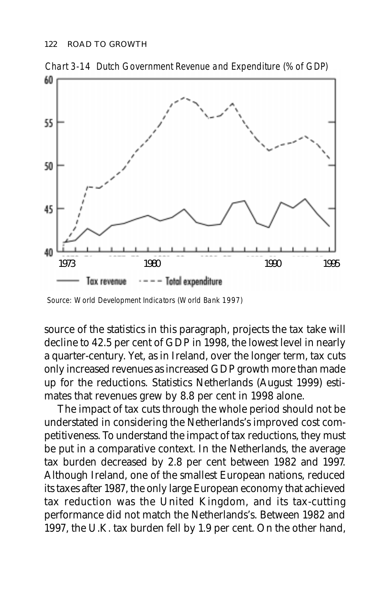

Chart 3-14 Dutch Government Revenue and Expenditure (% of GDP)

Source: World Development Indicators (World Bank 1997)

source of the statistics in this paragraph, projects the tax take will decline to 42.5 per cent of GDP in 1998, the lowest level in nearly a quarter-century. Yet, as in Ireland, over the longer term, tax cuts only increased revenues as increased GDP growth more than made up for the reductions. Statistics Netherlands (August 1999) estimates that revenues grew by 8.8 per cent in 1998 alone.

The impact of tax cuts through the whole period should not be understated in considering the Netherlands's improved cost competitiveness. To understand the impact of tax reductions, they must be put in a comparative context. In the Netherlands, the average tax burden decreased by 2.8 per cent between 1982 and 1997. Although Ireland, one of the smallest European nations, reduced its taxes after 1987, the only large European economy that achieved tax reduction was the United Kingdom, and its tax-cutting performance did not match the Netherlands's. Between 1982 and 1997, the U.K. tax burden fell by 1.9 per cent. On the other hand,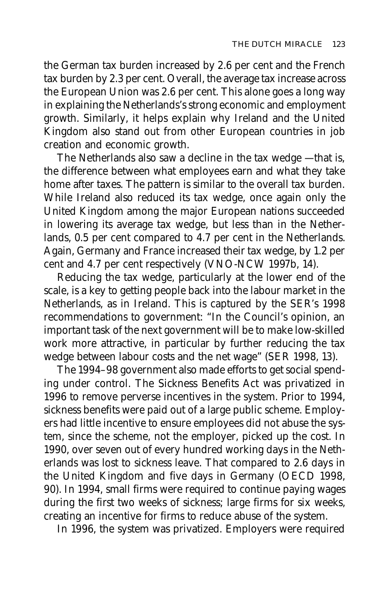the German tax burden increased by 2.6 per cent and the French tax burden by 2.3 per cent. Overall, the average tax increase across the European Union was 2.6 per cent. This alone goes a long way in explaining the Netherlands's strong economic and employment growth. Similarly, it helps explain why Ireland and the United Kingdom also stand out from other European countries in job creation and economic growth.

The Netherlands also saw a decline in the tax wedge — that is, the difference between what employees earn and what they take home after taxes. The pattern is similar to the overall tax burden. While Ireland also reduced its tax wedge, once again only the United Kingdom among the major European nations succeeded in lowering its average tax wedge, but less than in the Netherlands, 0.5 per cent compared to 4.7 per cent in the Netherlands. Again, Germany and France increased their tax wedge, by 1.2 per cent and 4.7 per cent respectively (VNO-NCW 1997b, 14).

Reducing the tax wedge, particularly at the lower end of the scale, is a key to getting people back into the labour market in the Netherlands, as in Ireland. This is captured by the SER's 1998 recommendations to government: "In the Council's opinion, an important task of the next government will be to make low-skilled work more attractive, in particular by further reducing the tax wedge between labour costs and the net wage" (SER 1998, 13).

The 1994–98 government also made efforts to get social spending under control. The Sickness Benefits Act was privatized in 1996 to remove perverse incentives in the system. Prior to 1994, sickness benefits were paid out of a large public scheme. Employers had little incentive to ensure employees did not abuse the system, since the scheme, not the employer, picked up the cost. In 1990, over seven out of every hundred working days in the Netherlands was lost to sickness leave. That compared to 2.6 days in the United Kingdom and five days in Germany (OECD 1998, 90). In 1994, small firms were required to continue paying wages during the first two weeks of sickness; large firms for six weeks, creating an incentive for firms to reduce abuse of the system.

In 1996, the system was privatized. Employers were required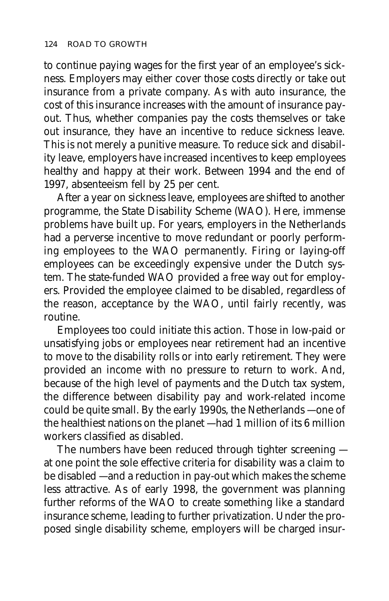to continue paying wages for the first year of an employee's sickness. Employers may either cover those costs directly or take out insurance from a private company. As with auto insurance, the cost of this insurance increases with the amount of insurance payout. Thus, whether companies pay the costs themselves or take out insurance, they have an incentive to reduce sickness leave. This is not merely a punitive measure. To reduce sick and disability leave, employers have increased incentives to keep employees healthy and happy at their work. Between 1994 and the end of 1997, absenteeism fell by 25 per cent.

After a year on sickness leave, employees are shifted to another programme, the State Disability Scheme (WAO). Here, immense problems have built up. For years, employers in the Netherlands had a perverse incentive to move redundant or poorly performing employees to the WAO permanently. Firing or laying-off employees can be exceedingly expensive under the Dutch system. The state-funded WAO provided a free way out for employers. Provided the employee claimed to be disabled, regardless of the reason, acceptance by the WAO, until fairly recently, was routine.

Employees too could initiate this action. Those in low-paid or unsatisfying jobs or employees near retirement had an incentive to move to the disability rolls or into early retirement. They were provided an income with no pressure to return to work. And, because of the high level of payments and the Dutch tax system, the difference between disability pay and work-related income could be quite small. By the early 1990s, the Netherlands — one of the healthiest nations on the planet — had 1 million of its 6 million workers classified as disabled.

The numbers have been reduced through tighter screening at one point the sole effective criteria for disability was a claim to be disabled — and a reduction in pay-out which makes the scheme less attractive. As of early 1998, the government was planning further reforms of the WAO to create something like a standard insurance scheme, leading to further privatization. Under the proposed single disability scheme, employers will be charged insur-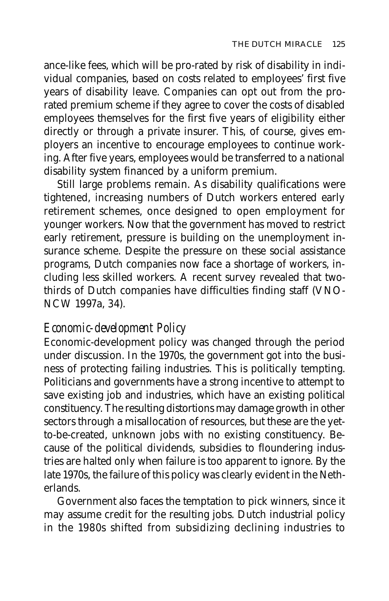ance-like fees, which will be pro-rated by risk of disability in individual companies, based on costs related to employees' first five years of disability leave. Companies can opt out from the prorated premium scheme if they agree to cover the costs of disabled employees themselves for the first five years of eligibility either directly or through a private insurer. This, of course, gives employers an incentive to encourage employees to continue working. After five years, employees would be transferred to a national disability system financed by a uniform premium.

Still large problems remain. As disability qualifications were tightened, increasing numbers of Dutch workers entered early retirement schemes, once designed to open employment for younger workers. Now that the government has moved to restrict early retirement, pressure is building on the unemployment insurance scheme. Despite the pressure on these social assistance programs, Dutch companies now face a shortage of workers, including less skilled workers. A recent survey revealed that twothirds of Dutch companies have difficulties finding staff (VNO-NCW 1997a, 34).

#### *Economic-development Policy*

Economic-development policy was changed through the period under discussion. In the 1970s, the government got into the business of protecting failing industries. This is politically tempting. Politicians and governments have a strong incentive to attempt to save existing job and industries, which have an existing political constituency. The resulting distortions may damage growth in other sectors through a misallocation of resources, but these are the yetto-be-created, unknown jobs with no existing constituency. Because of the political dividends, subsidies to floundering industries are halted only when failure is too apparent to ignore. By the late 1970s, the failure of this policy was clearly evident in the Netherlands.

Government also faces the temptation to pick winners, since it may assume credit for the resulting jobs. Dutch industrial policy in the 1980s shifted from subsidizing declining industries to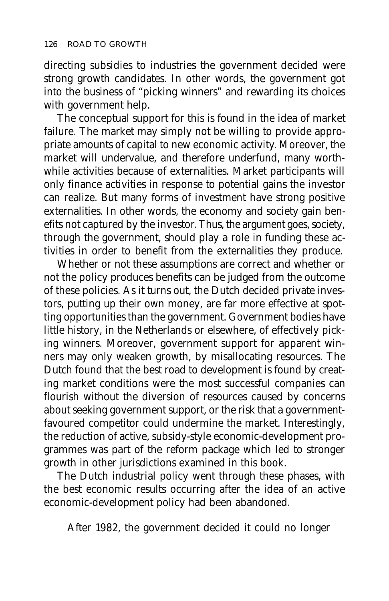directing subsidies to industries the government decided were strong growth candidates. In other words, the government got into the business of "picking winners" and rewarding its choices with government help.

The conceptual support for this is found in the idea of market failure. The market may simply not be willing to provide appropriate amounts of capital to new economic activity. Moreover, the market will undervalue, and therefore underfund, many worthwhile activities because of externalities. Market participants will only finance activities in response to potential gains the investor can realize. But many forms of investment have strong positive externalities. In other words, the economy and society gain benefits not captured by the investor. Thus, the argument goes, society, through the government, should play a role in funding these activities in order to benefit from the externalities they produce.

Whether or not these assumptions are correct and whether or not the policy produces benefits can be judged from the outcome of these policies. As it turns out, the Dutch decided private investors, putting up their own money, are far more effective at spotting opportunities than the government. Government bodies have little history, in the Netherlands or elsewhere, of effectively picking winners. Moreover, government support for apparent winners may only weaken growth, by misallocating resources. The Dutch found that the best road to development is found by creating market conditions were the most successful companies can flourish without the diversion of resources caused by concerns about seeking government support, or the risk that a governmentfavoured competitor could undermine the market. Interestingly, the reduction of active, subsidy-style economic-development programmes was part of the reform package which led to stronger growth in other jurisdictions examined in this book.

The Dutch industrial policy went through these phases, with the best economic results occurring after the idea of an active economic-development policy had been abandoned.

After 1982, the government decided it could no longer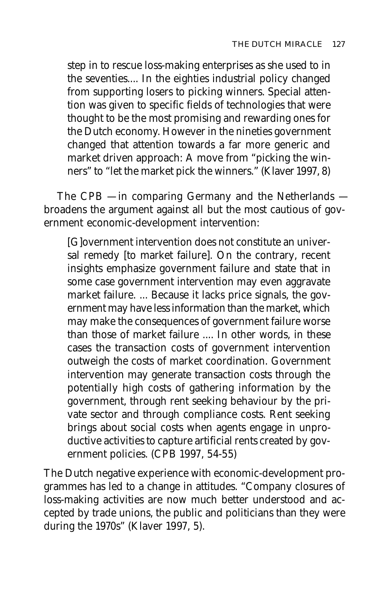step in to rescue loss-making enterprises as she used to in the seventies.... In the eighties industrial policy changed from supporting losers to picking winners. Special attention was given to specific fields of technologies that were thought to be the most promising and rewarding ones for the Dutch economy. However in the nineties government changed that attention towards a far more generic and market driven approach: A move from "picking the winners" to "let the market pick the winners." (Klaver 1997, 8)

The CPB — in comparing Germany and the Netherlands broadens the argument against all but the most cautious of government economic-development intervention:

[G]overnment intervention does not constitute an universal remedy [to market failure]. On the contrary, recent insights emphasize government failure and state that in some case government intervention may even aggravate market failure. ... Because it lacks price signals, the government may have less information than the market, which may make the consequences of government failure worse than those of market failure .... In other words, in these cases the transaction costs of government intervention outweigh the costs of market coordination. Government intervention may generate transaction costs through the potentially high costs of gathering information by the government, through rent seeking behaviour by the private sector and through compliance costs. Rent seeking brings about social costs when agents engage in unproductive activities to capture artificial rents created by government policies. (CPB 1997, 54-55)

The Dutch negative experience with economic-development programmes has led to a change in attitudes. "Company closures of loss-making activities are now much better understood and accepted by trade unions, the public and politicians than they were during the 1970s" (Klaver 1997, 5).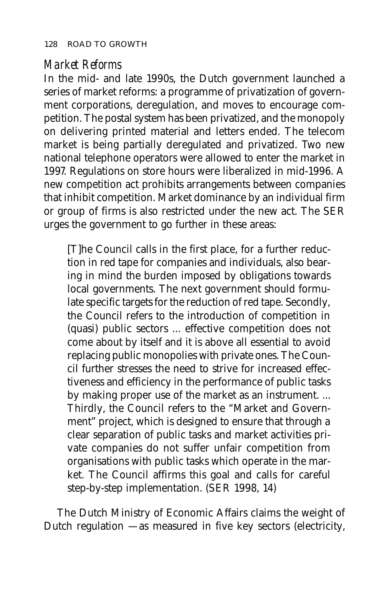#### *Market Reforms*

In the mid- and late 1990s, the Dutch government launched a series of market reforms: a programme of privatization of government corporations, deregulation, and moves to encourage competition. The postal system has been privatized, and the monopoly on delivering printed material and letters ended. The telecom market is being partially deregulated and privatized. Two new national telephone operators were allowed to enter the market in 1997. Regulations on store hours were liberalized in mid-1996. A new competition act prohibits arrangements between companies that inhibit competition. Market dominance by an individual firm or group of firms is also restricted under the new act. The SER urges the government to go further in these areas:

[T]he Council calls in the first place, for a further reduction in red tape for companies and individuals, also bearing in mind the burden imposed by obligations towards local governments. The next government should formulate specific targets for the reduction of red tape. Secondly, the Council refers to the introduction of competition in (quasi) public sectors ... effective competition does not come about by itself and it is above all essential to avoid replacing public monopolies with private ones. The Council further stresses the need to strive for increased effectiveness and efficiency in the performance of public tasks by making proper use of the market as an instrument. ... Thirdly, the Council refers to the "Market and Government" project, which is designed to ensure that through a clear separation of public tasks and market activities private companies do not suffer unfair competition from organisations with public tasks which operate in the market. The Council affirms this goal and calls for careful step-by-step implementation. (SER 1998, 14)

The Dutch Ministry of Economic Affairs claims the weight of Dutch regulation — as measured in five key sectors (electricity,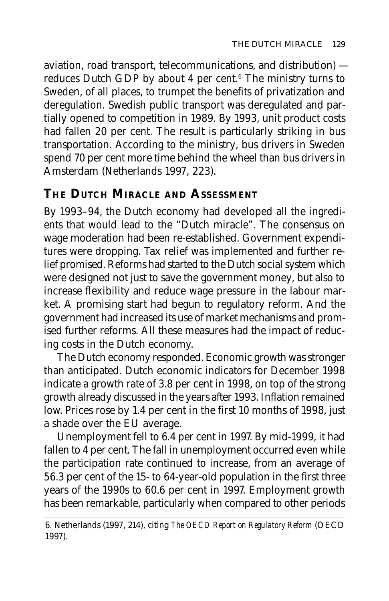aviation, road transport, telecommunications, and distribution) reduces Dutch GDP by about 4 per cent.<sup>6</sup> The ministry turns to Sweden, of all places, to trumpet the benefits of privatization and deregulation. Swedish public transport was deregulated and partially opened to competition in 1989. By 1993, unit product costs had fallen 20 per cent. The result is particularly striking in bus transportation. According to the ministry, bus drivers in Sweden spend 70 per cent more time behind the wheel than bus drivers in Amsterdam (Netherlands 1997, 223).

# **THE DUTCH MIRACLE AND ASSESSMENT**

By 1993–94, the Dutch economy had developed all the ingredients that would lead to the "Dutch miracle". The consensus on wage moderation had been re-established. Government expenditures were dropping. Tax relief was implemented and further relief promised. Reforms had started to the Dutch social system which were designed not just to save the government money, but also to increase flexibility and reduce wage pressure in the labour market. A promising start had begun to regulatory reform. And the government had increased its use of market mechanisms and promised further reforms. All these measures had the impact of reducing costs in the Dutch economy.

The Dutch economy responded. Economic growth was stronger than anticipated. Dutch economic indicators for December 1998 indicate a growth rate of 3.8 per cent in 1998, on top of the strong growth already discussed in the years after 1993. Inflation remained low. Prices rose by 1.4 per cent in the first 10 months of 1998, just a shade over the EU average.

Unemployment fell to 6.4 per cent in 1997. By mid-1999, it had fallen to 4 per cent. The fall in unemployment occurred even while the participation rate continued to increase, from an average of 56.3 per cent of the 15- to 64-year-old population in the first three years of the 1990s to 60.6 per cent in 1997. Employment growth has been remarkable, particularly when compared to other periods

<sup>6.</sup> Netherlands (1997, 214), citing *The OECD Report on Regulatory Reform* (OECD 1997).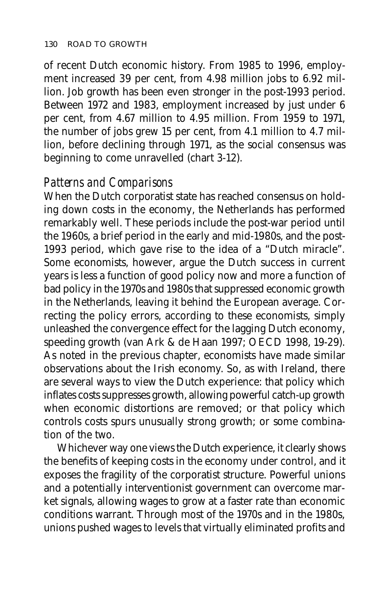of recent Dutch economic history. From 1985 to 1996, employment increased 39 per cent, from 4.98 million jobs to 6.92 million. Job growth has been even stronger in the post-1993 period. Between 1972 and 1983, employment increased by just under 6 per cent, from 4.67 million to 4.95 million. From 1959 to 1971, the number of jobs grew 15 per cent, from 4.1 million to 4.7 million, before declining through 1971, as the social consensus was beginning to come unravelled (chart 3-12).

#### *Patterns and Comparisons*

When the Dutch corporatist state has reached consensus on holding down costs in the economy, the Netherlands has performed remarkably well. These periods include the post-war period until the 1960s, a brief period in the early and mid-1980s, and the post-1993 period, which gave rise to the idea of a "Dutch miracle". Some economists, however, argue the Dutch success in current years is less a function of good policy now and more a function of bad policy in the 1970s and 1980s that suppressed economic growth in the Netherlands, leaving it behind the European average. Correcting the policy errors, according to these economists, simply unleashed the convergence effect for the lagging Dutch economy, speeding growth (van Ark & de Haan 1997; OECD 1998, 19-29). As noted in the previous chapter, economists have made similar observations about the Irish economy. So, as with Ireland, there are several ways to view the Dutch experience: that policy which inflates costs suppresses growth, allowing powerful catch-up growth when economic distortions are removed; or that policy which controls costs spurs unusually strong growth; or some combination of the two.

Whichever way one views the Dutch experience, it clearly shows the benefits of keeping costs in the economy under control, and it exposes the fragility of the corporatist structure. Powerful unions and a potentially interventionist government can overcome market signals, allowing wages to grow at a faster rate than economic conditions warrant. Through most of the 1970s and in the 1980s, unions pushed wages to levels that virtually eliminated profits and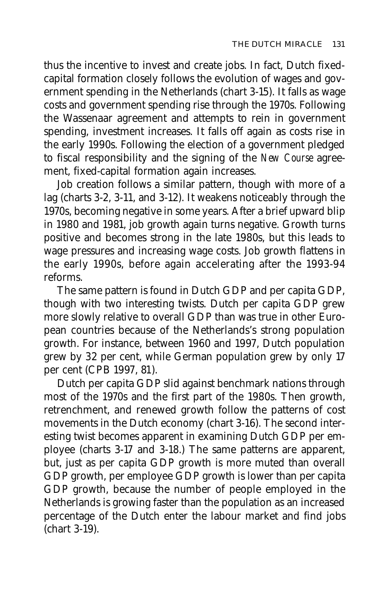thus the incentive to invest and create jobs. In fact, Dutch fixedcapital formation closely follows the evolution of wages and government spending in the Netherlands (chart 3-15). It falls as wage costs and government spending rise through the 1970s. Following the Wassenaar agreement and attempts to rein in government spending, investment increases. It falls off again as costs rise in the early 1990s. Following the election of a government pledged to fiscal responsibility and the signing of the *New Course* agreement, fixed-capital formation again increases.

Job creation follows a similar pattern, though with more of a lag (charts 3-2, 3-11, and 3-12). It weakens noticeably through the 1970s, becoming negative in some years. After a brief upward blip in 1980 and 1981, job growth again turns negative. Growth turns positive and becomes strong in the late 1980s, but this leads to wage pressures and increasing wage costs. Job growth flattens in the early 1990s, before again accelerating after the 1993-94 reforms.

The same pattern is found in Dutch GDP and per capita GDP, though with two interesting twists. Dutch per capita GDP grew more slowly relative to overall GDP than was true in other European countries because of the Netherlands's strong population growth. For instance, between 1960 and 1997, Dutch population grew by 32 per cent, while German population grew by only 17 per cent (CPB 1997, 81).

Dutch per capita GDP slid against benchmark nations through most of the 1970s and the first part of the 1980s. Then growth, retrenchment, and renewed growth follow the patterns of cost movements in the Dutch economy (chart 3-16). The second interesting twist becomes apparent in examining Dutch GDP per employee (charts 3-17 and 3-18.) The same patterns are apparent, but, just as per capita GDP growth is more muted than overall GDP growth, per employee GDP growth is lower than per capita GDP growth, because the number of people employed in the Netherlands is growing faster than the population as an increased percentage of the Dutch enter the labour market and find jobs (chart 3-19).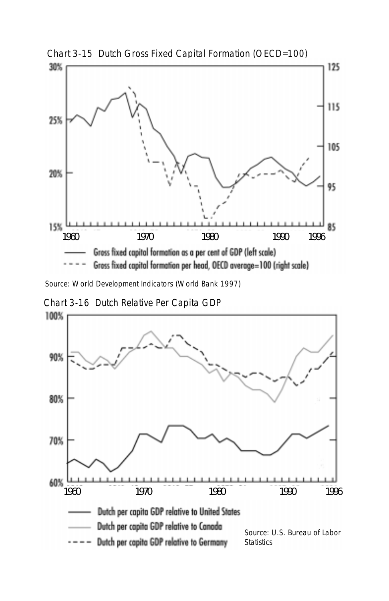

Chart 3-15 Dutch Gross Fixed Capital Formation (OECD=100)

Source: World Development Indicators (World Bank 1997)

Chart 3-16 Dutch Relative Per Capita GDP

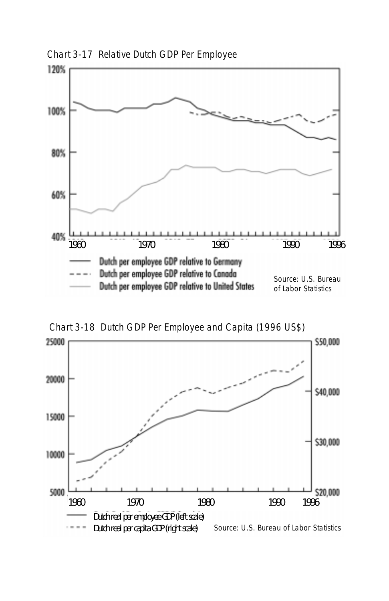

Chart 3-17 Relative Dutch GDP Per Employee



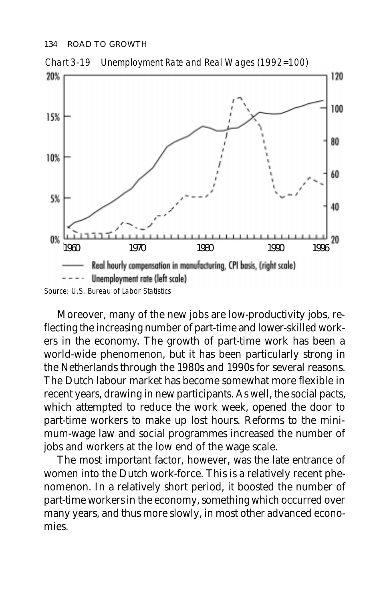

Moreover, many of the new jobs are low-productivity jobs, reflecting the increasing number of part-time and lower-skilled workers in the economy. The growth of part-time work has been a world-wide phenomenon, but it has been particularly strong in the Netherlands through the 1980s and 1990s for several reasons. The Dutch labour market has become somewhat more flexible in recent years, drawing in new participants. As well, the social pacts, which attempted to reduce the work week, opened the door to part-time workers to make up lost hours. Reforms to the minimum-wage law and social programmes increased the number of jobs and workers at the low end of the wage scale.

The most important factor, however, was the late entrance of women into the Dutch work-force. This is a relatively recent phenomenon. In a relatively short period, it boosted the number of part-time workers in the economy, something which occurred over many years, and thus more slowly, in most other advanced economies.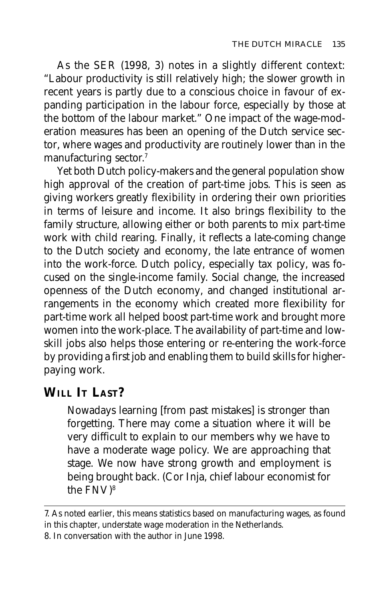As the SER (1998, 3) notes in a slightly different context: "Labour productivity is still relatively high; the slower growth in recent years is partly due to a conscious choice in favour of expanding participation in the labour force, especially by those at the bottom of the labour market." One impact of the wage-moderation measures has been an opening of the Dutch service sector, where wages and productivity are routinely lower than in the manufacturing sector.7

Yet both Dutch policy-makers and the general population show high approval of the creation of part-time jobs. This is seen as giving workers greatly flexibility in ordering their own priorities in terms of leisure and income. It also brings flexibility to the family structure, allowing either or both parents to mix part-time work with child rearing. Finally, it reflects a late-coming change to the Dutch society and economy, the late entrance of women into the work-force. Dutch policy, especially tax policy, was focused on the single-income family. Social change, the increased openness of the Dutch economy, and changed institutional arrangements in the economy which created more flexibility for part-time work all helped boost part-time work and brought more women into the work-place. The availability of part-time and lowskill jobs also helps those entering or re-entering the work-force by providing a first job and enabling them to build skills for higherpaying work.

# **WILL IT LAST?**

Nowadays learning [from past mistakes] is stronger than forgetting. There may come a situation where it will be very difficult to explain to our members why we have to have a moderate wage policy. We are approaching that stage. We now have strong growth and employment is being brought back. (Cor Inja, chief labour economist for the FNV)8

<sup>7.</sup> As noted earlier, this means statistics based on manufacturing wages, as found in this chapter, understate wage moderation in the Netherlands.

<sup>8.</sup> In conversation with the author in June 1998.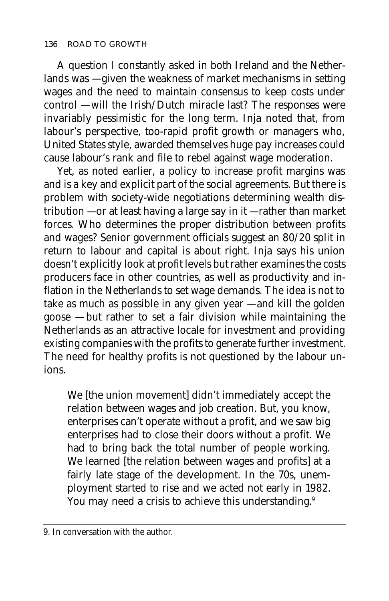A question I constantly asked in both Ireland and the Netherlands was — given the weakness of market mechanisms in setting wages and the need to maintain consensus to keep costs under control — will the Irish/Dutch miracle last? The responses were invariably pessimistic for the long term. Inja noted that, from labour's perspective, too-rapid profit growth or managers who, United States style, awarded themselves huge pay increases could cause labour's rank and file to rebel against wage moderation.

Yet, as noted earlier, a policy to increase profit margins was and is a key and explicit part of the social agreements. But there is problem with society-wide negotiations determining wealth distribution — or at least having a large say in it — rather than market forces. Who determines the proper distribution between profits and wages? Senior government officials suggest an 80/20 split in return to labour and capital is about right. Inja says his union doesn't explicitly look at profit levels but rather examines the costs producers face in other countries, as well as productivity and inflation in the Netherlands to set wage demands. The idea is not to take as much as possible in any given year — and kill the golden goose — but rather to set a fair division while maintaining the Netherlands as an attractive locale for investment and providing existing companies with the profits to generate further investment. The need for healthy profits is not questioned by the labour unions.

We [the union movement] didn't immediately accept the relation between wages and job creation. But, you know, enterprises can't operate without a profit, and we saw big enterprises had to close their doors without a profit. We had to bring back the total number of people working. We learned [the relation between wages and profits] at a fairly late stage of the development. In the 70s, unemployment started to rise and we acted not early in 1982. You may need a crisis to achieve this understanding.<sup>9</sup>

<sup>9.</sup> In conversation with the author.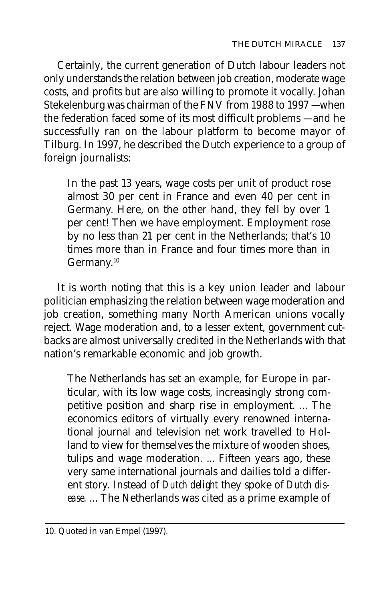Certainly, the current generation of Dutch labour leaders not only understands the relation between job creation, moderate wage costs, and profits but are also willing to promote it vocally. Johan Stekelenburg was chairman of the FNV from 1988 to 1997 — when the federation faced some of its most difficult problems — and he successfully ran on the labour platform to become mayor of Tilburg. In 1997, he described the Dutch experience to a group of foreign journalists:

In the past 13 years, wage costs per unit of product rose almost 30 per cent in France and even 40 per cent in Germany. Here, on the other hand, they fell by over 1 per cent! Then we have employment. Employment rose by no less than 21 per cent in the Netherlands; that's 10 times more than in France and four times more than in Germany.<sup>10</sup>

It is worth noting that this is a key union leader and labour politician emphasizing the relation between wage moderation and job creation, something many North American unions vocally reject. Wage moderation and, to a lesser extent, government cutbacks are almost universally credited in the Netherlands with that nation's remarkable economic and job growth.

The Netherlands has set an example, for Europe in particular, with its low wage costs, increasingly strong competitive position and sharp rise in employment. ... The economics editors of virtually every renowned international journal and television net work travelled to Holland to view for themselves the mixture of wooden shoes, tulips and wage moderation. ... Fifteen years ago, these very same international journals and dailies told a different story. Instead of *Dutch delight* they spoke of *Dutch disease.* ... The Netherlands was cited as a prime example of

<sup>10.</sup> Quoted in van Empel (1997).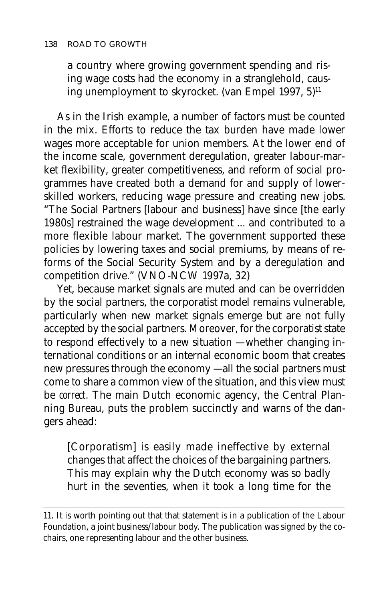a country where growing government spending and rising wage costs had the economy in a stranglehold, causing unemployment to skyrocket. (van Empel 1997, 5)<sup>11</sup>

As in the Irish example, a number of factors must be counted in the mix. Efforts to reduce the tax burden have made lower wages more acceptable for union members. At the lower end of the income scale, government deregulation, greater labour-market flexibility, greater competitiveness, and reform of social programmes have created both a demand for and supply of lowerskilled workers, reducing wage pressure and creating new jobs. "The Social Partners [labour and business] have since [the early 1980s] restrained the wage development ... and contributed to a more flexible labour market. The government supported these policies by lowering taxes and social premiums, by means of reforms of the Social Security System and by a deregulation and competition drive." (VNO-NCW 1997a, 32)

Yet, because market signals are muted and can be overridden by the social partners, the corporatist model remains vulnerable, particularly when new market signals emerge but are not fully accepted by the social partners. Moreover, for the corporatist state to respond effectively to a new situation — whether changing international conditions or an internal economic boom that creates new pressures through the economy — all the social partners must come to share a common view of the situation, and this view must be *correct.* The main Dutch economic agency, the Central Planning Bureau, puts the problem succinctly and warns of the dangers ahead:

[Corporatism] is easily made ineffective by external changes that affect the choices of the bargaining partners. This may explain why the Dutch economy was so badly hurt in the seventies, when it took a long time for the

<sup>11.</sup> It is worth pointing out that that statement is in a publication of the Labour Foundation, a joint business/labour body. The publication was signed by the cochairs, one representing labour and the other business.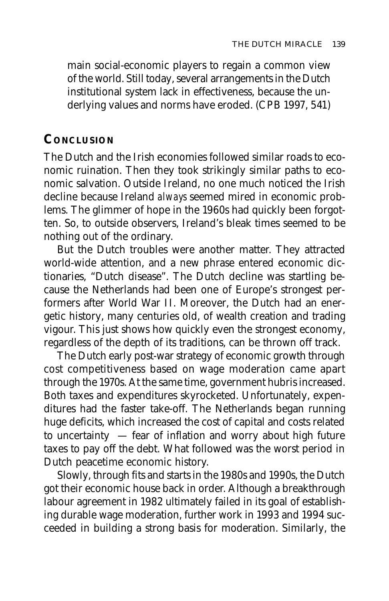main social-economic players to regain a common view of the world. Still today, several arrangements in the Dutch institutional system lack in effectiveness, because the underlying values and norms have eroded. (CPB 1997, 541)

#### **CONCLUSION**

The Dutch and the Irish economies followed similar roads to economic ruination. Then they took strikingly similar paths to economic salvation. Outside Ireland, no one much noticed the Irish decline because Ireland *always* seemed mired in economic problems. The glimmer of hope in the 1960s had quickly been forgotten. So, to outside observers, Ireland's bleak times seemed to be nothing out of the ordinary.

But the Dutch troubles were another matter. They attracted world-wide attention, and a new phrase entered economic dictionaries, "Dutch disease". The Dutch decline was startling because the Netherlands had been one of Europe's strongest performers after World War II. Moreover, the Dutch had an energetic history, many centuries old, of wealth creation and trading vigour. This just shows how quickly even the strongest economy, regardless of the depth of its traditions, can be thrown off track.

The Dutch early post-war strategy of economic growth through cost competitiveness based on wage moderation came apart through the 1970s. At the same time, government hubris increased. Both taxes and expenditures skyrocketed. Unfortunately, expenditures had the faster take-off. The Netherlands began running huge deficits, which increased the cost of capital and costs related to uncertainty — fear of inflation and worry about high future taxes to pay off the debt. What followed was the worst period in Dutch peacetime economic history.

Slowly, through fits and starts in the 1980s and 1990s, the Dutch got their economic house back in order. Although a breakthrough labour agreement in 1982 ultimately failed in its goal of establishing durable wage moderation, further work in 1993 and 1994 succeeded in building a strong basis for moderation. Similarly, the